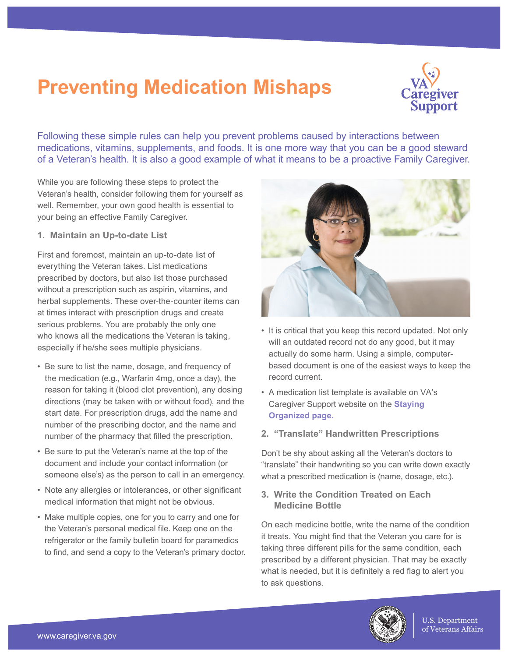## **Preventing Medication Mishaps.**



Following these simple rules can help you prevent problems caused by interactions between medications, vitamins, supplements, and foods. It is one more way that you can be a good steward of a Veteran's health. It is also a good example of what it means to be a proactive Family Caregiver.

While you are following these steps to protect the Veteran's health, consider following them for yourself as well. Remember, your own good health is essential to your being an effective Family Caregiver.

**1. Maintain an Up-to-date List.**

First and foremost, maintain an up-to-date list of everything the Veteran takes. List medications prescribed by doctors, but also list those purchased without a prescription such as aspirin, vitamins, and herbal supplements. These over-the-counter items can at times interact with prescription drugs and create serious problems. You are probably the only one who knows all the medications the Veteran is taking, especially if he/she sees multiple physicians.

- Be sure to list the name, dosage, and frequency of the medication (e.g., Warfarin 4mg, once a day), the reason for taking it (blood clot prevention), any dosing directions (may be taken with or without food), and the start date. For prescription drugs, add the name and number of the prescribing doctor, and the name and number of the pharmacy that filled the prescription.
- Be sure to put the Veteran's name at the top of the document and include your contact information (or someone else's) as the person to call in an emergency.
- Note any allergies or intolerances, or other significant medical information that might not be obvious.
- Make multiple copies, one for you to carry and one for the Veteran's personal medical file. Keep one on the refrigerator or the family bulletin board for paramedics to find, and send a copy to the Veteran's primary doctor.



- It is critical that you keep this record updated. Not only will an outdated record not do any good, but it may actually do some harm. Using a simple, computerbased document is one of the easiest ways to keep the record current.
- A medication list template is available on VA's [Caregiver Support website on the](https://www.caregiver.va.gov/pdfs/MedicationLog.pdf#) **Staying Organized page.**
- **2. "Translate" Handwritten Prescriptions.**

Don't be shy about asking all the Veteran's doctors to "translate" their handwriting so you can write down exactly what a prescribed medication is (name, dosage, etc.).

## **3. Write the Condition Treated on Each Medicine Bottle.**

On each medicine bottle, write the name of the condition it treats. You might find that the Veteran you care for is taking three different pills for the same condition, each prescribed by a different physician. That may be exactly what is needed, but it is definitely a red flag to alert you to ask questions.